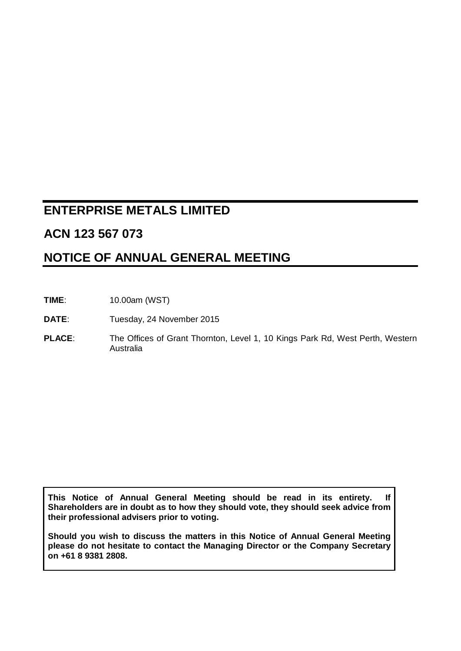# **ENTERPRISE METALS LIMITED**

## **ACN 123 567 073**

## **NOTICE OF ANNUAL GENERAL MEETING**

- **TIME**: 10.00am (WST)
- DATE: Tuesday, 24 November 2015
- PLACE: The Offices of Grant Thornton, Level 1, 10 Kings Park Rd, West Perth, Western Australia

**This Notice of Annual General Meeting should be read in its entirety. If Shareholders are in doubt as to how they should vote, they should seek advice from their professional advisers prior to voting.**

**Should you wish to discuss the matters in this Notice of Annual General Meeting please do not hesitate to contact the Managing Director or the Company Secretary on +61 8 9381 2808.**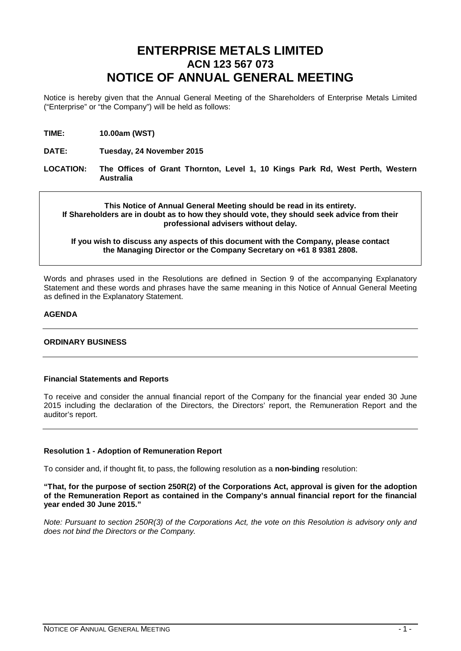# **ENTERPRISE METALS LIMITED ACN 123 567 073 NOTICE OF ANNUAL GENERAL MEETING**

Notice is hereby given that the Annual General Meeting of the Shareholders of Enterprise Metals Limited ("Enterprise" or "the Company") will be held as follows:

**TIME: 10.00am (WST)**

**DATE: Tuesday, 24 November 2015**

**LOCATION: The Offices of Grant Thornton, Level 1, 10 Kings Park Rd, West Perth, Western Australia**

**This Notice of Annual General Meeting should be read in its entirety. If Shareholders are in doubt as to how they should vote, they should seek advice from their professional advisers without delay.**

#### **If you wish to discuss any aspects of this document with the Company, please contact the Managing Director or the Company Secretary on +61 8 9381 2808.**

Words and phrases used in the Resolutions are defined in Section 9 of the accompanying Explanatory Statement and these words and phrases have the same meaning in this Notice of Annual General Meeting as defined in the Explanatory Statement.

#### **AGENDA**

### **ORDINARY BUSINESS**

#### **Financial Statements and Reports**

To receive and consider the annual financial report of the Company for the financial year ended 30 June 2015 including the declaration of the Directors, the Directors' report, the Remuneration Report and the auditor's report.

#### **Resolution 1 - Adoption of Remuneration Report**

To consider and, if thought fit, to pass, the following resolution as a **non-binding** resolution:

**"That, for the purpose of section 250R(2) of the Corporations Act, approval is given for the adoption of the Remuneration Report as contained in the Company's annual financial report for the financial year ended 30 June 2015."**

*Note: Pursuant to section 250R(3) of the Corporations Act, the vote on this Resolution is advisory only and does not bind the Directors or the Company.*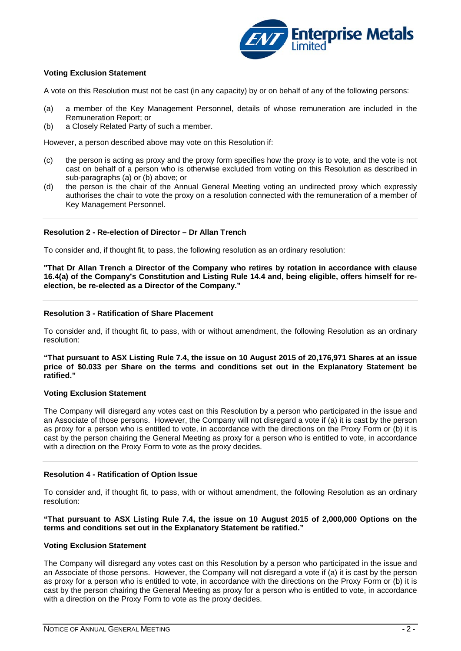

### **Voting Exclusion Statement**

A vote on this Resolution must not be cast (in any capacity) by or on behalf of any of the following persons:

- (a) a member of the Key Management Personnel, details of whose remuneration are included in the Remuneration Report; or
- (b) a Closely Related Party of such a member.

However, a person described above may vote on this Resolution if:

- (c) the person is acting as proxy and the proxy form specifies how the proxy is to vote, and the vote is not cast on behalf of a person who is otherwise excluded from voting on this Resolution as described in sub-paragraphs (a) or (b) above; or
- (d) the person is the chair of the Annual General Meeting voting an undirected proxy which expressly authorises the chair to vote the proxy on a resolution connected with the remuneration of a member of Key Management Personnel.

#### **Resolution 2 - Re-election of Director – Dr Allan Trench**

To consider and, if thought fit, to pass, the following resolution as an ordinary resolution:

**"That Dr Allan Trench a Director of the Company who retires by rotation in accordance with clause 16.4(a) of the Company's Constitution and Listing Rule 14.4 and, being eligible, offers himself for reelection, be re-elected as a Director of the Company."**

#### **Resolution 3 - Ratification of Share Placement**

To consider and, if thought fit, to pass, with or without amendment, the following Resolution as an ordinary resolution:

**"That pursuant to ASX Listing Rule 7.4, the issue on 10 August 2015 of 20,176,971 Shares at an issue price of \$0.033 per Share on the terms and conditions set out in the Explanatory Statement be ratified."**

#### **Voting Exclusion Statement**

The Company will disregard any votes cast on this Resolution by a person who participated in the issue and an Associate of those persons.However, the Company will not disregard a vote if (a) it is cast by the person as proxy for a person who is entitled to vote, in accordance with the directions on the Proxy Form or (b) it is cast by the person chairing the General Meeting as proxy for a person who is entitled to vote, in accordance with a direction on the Proxy Form to vote as the proxy decides.

#### **Resolution 4 - Ratification of Option Issue**

To consider and, if thought fit, to pass, with or without amendment, the following Resolution as an ordinary resolution:

**"That pursuant to ASX Listing Rule 7.4, the issue on 10 August 2015 of 2,000,000 Options on the terms and conditions set out in the Explanatory Statement be ratified."**

#### **Voting Exclusion Statement**

The Company will disregard any votes cast on this Resolution by a person who participated in the issue and an Associate of those persons.However, the Company will not disregard a vote if (a) it is cast by the person as proxy for a person who is entitled to vote, in accordance with the directions on the Proxy Form or (b) it is cast by the person chairing the General Meeting as proxy for a person who is entitled to vote, in accordance with a direction on the Proxy Form to vote as the proxy decides.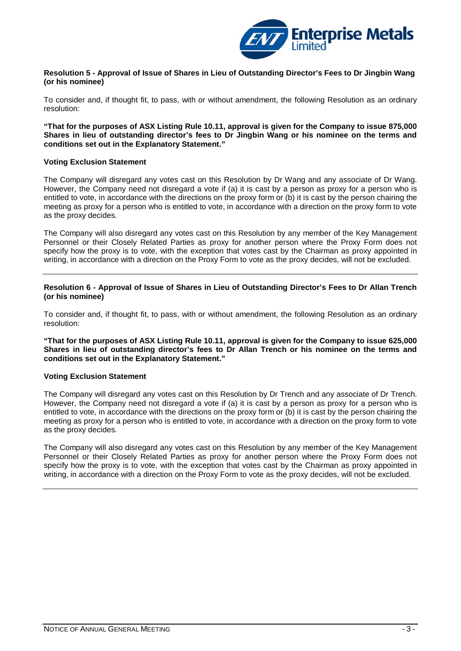

#### **Resolution 5 - Approval of Issue of Shares in Lieu of Outstanding Director's Fees to Dr Jingbin Wang (or his nominee)**

To consider and, if thought fit, to pass, with or without amendment, the following Resolution as an ordinary resolution:

**"That for the purposes of ASX Listing Rule 10.11, approval is given for the Company to issue 875,000 Shares in lieu of outstanding director's fees to Dr Jingbin Wang or his nominee on the terms and conditions set out in the Explanatory Statement."**

#### **Voting Exclusion Statement**

The Company will disregard any votes cast on this Resolution by Dr Wang and any associate of Dr Wang. However, the Company need not disregard a vote if (a) it is cast by a person as proxy for a person who is entitled to vote, in accordance with the directions on the proxy form or (b) it is cast by the person chairing the meeting as proxy for a person who is entitled to vote, in accordance with a direction on the proxy form to vote as the proxy decides.

The Company will also disregard any votes cast on this Resolution by any member of the Key Management Personnel or their Closely Related Parties as proxy for another person where the Proxy Form does not specify how the proxy is to vote, with the exception that votes cast by the Chairman as proxy appointed in writing, in accordance with a direction on the Proxy Form to vote as the proxy decides, will not be excluded.

**Resolution 6 - Approval of Issue of Shares in Lieu of Outstanding Director's Fees to Dr Allan Trench (or his nominee)**

To consider and, if thought fit, to pass, with or without amendment, the following Resolution as an ordinary resolution:

**"That for the purposes of ASX Listing Rule 10.11, approval is given for the Company to issue 625,000 Shares in lieu of outstanding director's fees to Dr Allan Trench or his nominee on the terms and conditions set out in the Explanatory Statement."**

#### **Voting Exclusion Statement**

The Company will disregard any votes cast on this Resolution by Dr Trench and any associate of Dr Trench. However, the Company need not disregard a vote if (a) it is cast by a person as proxy for a person who is entitled to vote, in accordance with the directions on the proxy form or (b) it is cast by the person chairing the meeting as proxy for a person who is entitled to vote, in accordance with a direction on the proxy form to vote as the proxy decides.

The Company will also disregard any votes cast on this Resolution by any member of the Key Management Personnel or their Closely Related Parties as proxy for another person where the Proxy Form does not specify how the proxy is to vote, with the exception that votes cast by the Chairman as proxy appointed in writing, in accordance with a direction on the Proxy Form to vote as the proxy decides, will not be excluded.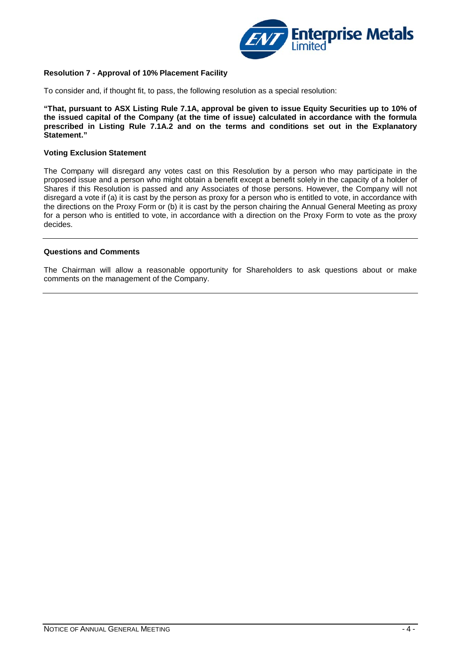

#### **Resolution 7 - Approval of 10% Placement Facility**

To consider and, if thought fit, to pass, the following resolution as a special resolution:

**"That, pursuant to ASX Listing Rule 7.1A, approval be given to issue Equity Securities up to 10% of the issued capital of the Company (at the time of issue) calculated in accordance with the formula prescribed in Listing Rule 7.1A.2 and on the terms and conditions set out in the Explanatory Statement."**

#### **Voting Exclusion Statement**

The Company will disregard any votes cast on this Resolution by a person who may participate in the proposed issue and a person who might obtain a benefit except a benefit solely in the capacity of a holder of Shares if this Resolution is passed and any Associates of those persons. However, the Company will not disregard a vote if (a) it is cast by the person as proxy for a person who is entitled to vote, in accordance with the directions on the Proxy Form or (b) it is cast by the person chairing the Annual General Meeting as proxy for a person who is entitled to vote, in accordance with a direction on the Proxy Form to vote as the proxy decides.

#### **Questions and Comments**

The Chairman will allow a reasonable opportunity for Shareholders to ask questions about or make comments on the management of the Company.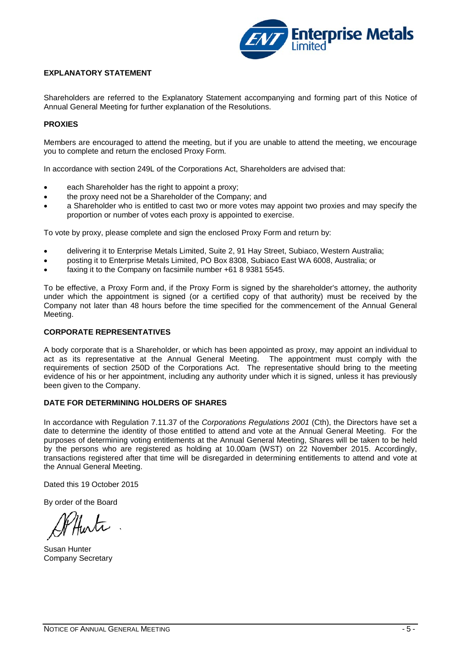

### **EXPLANATORY STATEMENT**

Shareholders are referred to the Explanatory Statement accompanying and forming part of this Notice of Annual General Meeting for further explanation of the Resolutions.

### **PROXIES**

Members are encouraged to attend the meeting, but if you are unable to attend the meeting, we encourage you to complete and return the enclosed Proxy Form.

In accordance with section 249L of the Corporations Act, Shareholders are advised that:

- each Shareholder has the right to appoint a proxy;
- the proxy need not be a Shareholder of the Company; and
- a Shareholder who is entitled to cast two or more votes may appoint two proxies and may specify the proportion or number of votes each proxy is appointed to exercise.

To vote by proxy, please complete and sign the enclosed Proxy Form and return by:

- delivering it to Enterprise Metals Limited, Suite 2, 91 Hay Street, Subiaco, Western Australia;
- posting it to Enterprise Metals Limited, PO Box 8308, Subiaco East WA 6008, Australia; or
- faxing it to the Company on facsimile number +61 8 9381 5545.

To be effective, a Proxy Form and, if the Proxy Form is signed by the shareholder's attorney, the authority under which the appointment is signed (or a certified copy of that authority) must be received by the Company not later than 48 hours before the time specified for the commencement of the Annual General Meeting.

#### **CORPORATE REPRESENTATIVES**

A body corporate that is a Shareholder, or which has been appointed as proxy, may appoint an individual to act as its representative at the Annual General Meeting. The appointment must comply with the requirements of section 250D of the Corporations Act. The representative should bring to the meeting evidence of his or her appointment, including any authority under which it is signed, unless it has previously been given to the Company.

## **DATE FOR DETERMINING HOLDERS OF SHARES**

In accordance with Regulation 7.11.37 of the *Corporations Regulations 2001* (Cth), the Directors have set a date to determine the identity of those entitled to attend and vote at the Annual General Meeting. For the purposes of determining voting entitlements at the Annual General Meeting, Shares will be taken to be held by the persons who are registered as holding at 10.00am (WST) on 22 November 2015. Accordingly, transactions registered after that time will be disregarded in determining entitlements to attend and vote at the Annual General Meeting.

Dated this 19 October 2015

By order of the Board

Susan Hunter Company Secretary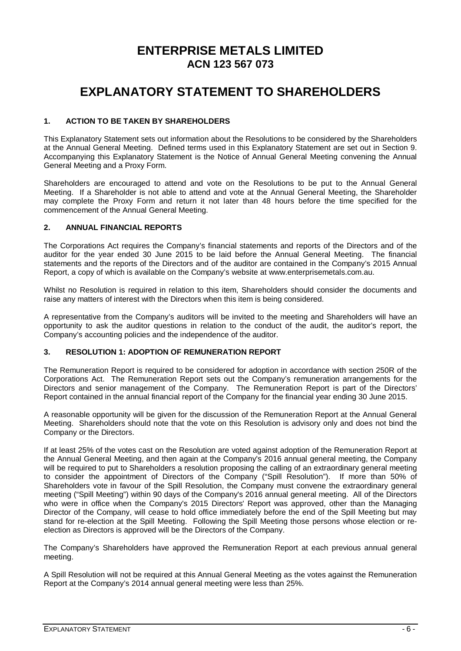## **ENTERPRISE METALS LIMITED ACN 123 567 073**

# **EXPLANATORY STATEMENT TO SHAREHOLDERS**

## **1. ACTION TO BE TAKEN BY SHAREHOLDERS**

This Explanatory Statement sets out information about the Resolutions to be considered by the Shareholders at the Annual General Meeting. Defined terms used in this Explanatory Statement are set out in Section 9. Accompanying this Explanatory Statement is the Notice of Annual General Meeting convening the Annual General Meeting and a Proxy Form.

Shareholders are encouraged to attend and vote on the Resolutions to be put to the Annual General Meeting. If a Shareholder is not able to attend and vote at the Annual General Meeting, the Shareholder may complete the Proxy Form and return it not later than 48 hours before the time specified for the commencement of the Annual General Meeting.

### **2. ANNUAL FINANCIAL REPORTS**

The Corporations Act requires the Company's financial statements and reports of the Directors and of the auditor for the year ended 30 June 2015 to be laid before the Annual General Meeting. The financial statements and the reports of the Directors and of the auditor are contained in the Company's 2015 Annual Report, a copy of which is available on the Company's website at www.enterprisemetals.com.au.

Whilst no Resolution is required in relation to this item, Shareholders should consider the documents and raise any matters of interest with the Directors when this item is being considered.

A representative from the Company's auditors will be invited to the meeting and Shareholders will have an opportunity to ask the auditor questions in relation to the conduct of the audit, the auditor's report, the Company's accounting policies and the independence of the auditor.

#### **3. RESOLUTION 1: ADOPTION OF REMUNERATION REPORT**

The Remuneration Report is required to be considered for adoption in accordance with section 250R of the Corporations Act. The Remuneration Report sets out the Company's remuneration arrangements for the Directors and senior management of the Company. The Remuneration Report is part of the Directors' Report contained in the annual financial report of the Company for the financial year ending 30 June 2015.

A reasonable opportunity will be given for the discussion of the Remuneration Report at the Annual General Meeting. Shareholders should note that the vote on this Resolution is advisory only and does not bind the Company or the Directors.

If at least 25% of the votes cast on the Resolution are voted against adoption of the Remuneration Report at the Annual General Meeting, and then again at the Company's 2016 annual general meeting, the Company will be required to put to Shareholders a resolution proposing the calling of an extraordinary general meeting to consider the appointment of Directors of the Company ("Spill Resolution"). If more than 50% of Shareholders vote in favour of the Spill Resolution, the Company must convene the extraordinary general meeting ("Spill Meeting") within 90 days of the Company's 2016 annual general meeting. All of the Directors who were in office when the Company's 2015 Directors' Report was approved, other than the Managing Director of the Company, will cease to hold office immediately before the end of the Spill Meeting but may stand for re-election at the Spill Meeting. Following the Spill Meeting those persons whose election or reelection as Directors is approved will be the Directors of the Company.

The Company's Shareholders have approved the Remuneration Report at each previous annual general meeting.

A Spill Resolution will not be required at this Annual General Meeting as the votes against the Remuneration Report at the Company's 2014 annual general meeting were less than 25%.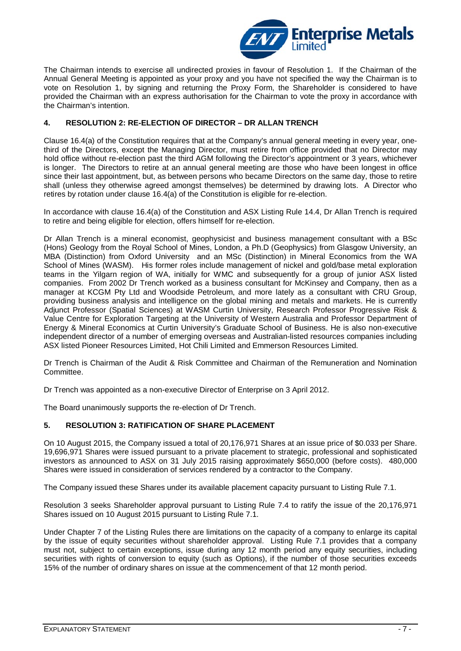

The Chairman intends to exercise all undirected proxies in favour of Resolution 1. If the Chairman of the Annual General Meeting is appointed as your proxy and you have not specified the way the Chairman is to vote on Resolution 1, by signing and returning the Proxy Form, the Shareholder is considered to have provided the Chairman with an express authorisation for the Chairman to vote the proxy in accordance with the Chairman's intention.

## **4. RESOLUTION 2: RE-ELECTION OF DIRECTOR – DR ALLAN TRENCH**

Clause 16.4(a) of the Constitution requires that at the Company's annual general meeting in every year, onethird of the Directors, except the Managing Director, must retire from office provided that no Director may hold office without re-election past the third AGM following the Director's appointment or 3 years, whichever is longer. The Directors to retire at an annual general meeting are those who have been longest in office since their last appointment, but, as between persons who became Directors on the same day, those to retire shall (unless they otherwise agreed amongst themselves) be determined by drawing lots. A Director who retires by rotation under clause 16.4(a) of the Constitution is eligible for re-election.

In accordance with clause 16.4(a) of the Constitution and ASX Listing Rule 14.4, Dr Allan Trench is required to retire and being eligible for election, offers himself for re-election.

Dr Allan Trench is a mineral economist, geophysicist and business management consultant with a BSc (Hons) Geology from the Royal School of Mines, London, a Ph.D (Geophysics) from Glasgow University, an MBA (Distinction) from Oxford University and an MSc (Distinction) in Mineral Economics from the WA School of Mines (WASM). His former roles include management of nickel and gold/base metal exploration teams in the Yilgarn region of WA, initially for WMC and subsequently for a group of junior ASX listed companies. From 2002 Dr Trench worked as a business consultant for McKinsey and Company, then as a manager at KCGM Pty Ltd and Woodside Petroleum, and more lately as a consultant with CRU Group, providing business analysis and intelligence on the global mining and metals and markets. He is currently Adjunct Professor (Spatial Sciences) at WASM Curtin University, Research Professor Progressive Risk & Value Centre for Exploration Targeting at the University of Western Australia and Professor Department of Energy & Mineral Economics at Curtin University's Graduate School of Business. He is also non-executive independent director of a number of emerging overseas and Australian-listed resources companies including ASX listed Pioneer Resources Limited, Hot Chili Limited and Emmerson Resources Limited.

Dr Trench is Chairman of the Audit & Risk Committee and Chairman of the Remuneration and Nomination Committee.

Dr Trench was appointed as a non-executive Director of Enterprise on 3 April 2012.

The Board unanimously supports the re-election of Dr Trench.

#### **5. RESOLUTION 3: RATIFICATION OF SHARE PLACEMENT**

On 10 August 2015, the Company issued a total of 20,176,971 Shares at an issue price of \$0.033 per Share. 19,696,971 Shares were issued pursuant to a private placement to strategic, professional and sophisticated investors as announced to ASX on 31 July 2015 raising approximately \$650,000 (before costs). 480,000 Shares were issued in consideration of services rendered by a contractor to the Company.

The Company issued these Shares under its available placement capacity pursuant to Listing Rule 7.1.

Resolution 3 seeks Shareholder approval pursuant to Listing Rule 7.4 to ratify the issue of the 20,176,971 Shares issued on 10 August 2015 pursuant to Listing Rule 7.1.

Under Chapter 7 of the Listing Rules there are limitations on the capacity of a company to enlarge its capital by the issue of equity securities without shareholder approval. Listing Rule 7.1 provides that a company must not, subject to certain exceptions, issue during any 12 month period any equity securities, including securities with rights of conversion to equity (such as Options), if the number of those securities exceeds 15% of the number of ordinary shares on issue at the commencement of that 12 month period.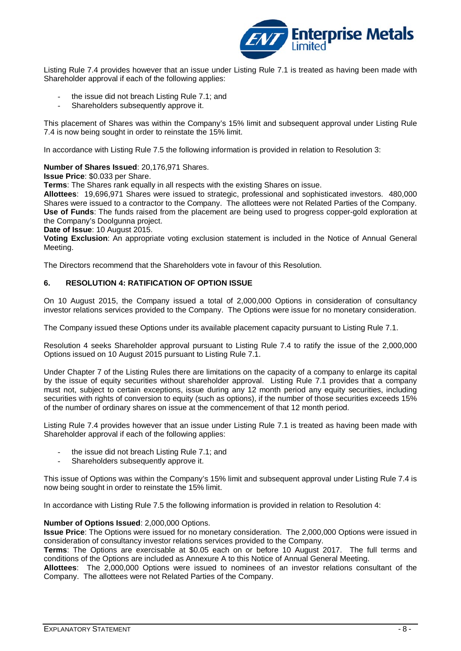

Listing Rule 7.4 provides however that an issue under Listing Rule 7.1 is treated as having been made with Shareholder approval if each of the following applies:

- the issue did not breach Listing Rule 7.1; and
- Shareholders subsequently approve it.

This placement of Shares was within the Company's 15% limit and subsequent approval under Listing Rule 7.4 is now being sought in order to reinstate the 15% limit.

In accordance with Listing Rule 7.5 the following information is provided in relation to Resolution 3:

#### **Number of Shares Issued**: 20,176,971 Shares.

**Issue Price**: \$0.033 per Share.

**Terms**: The Shares rank equally in all respects with the existing Shares on issue.

**Allottees**: 19,696,971 Shares were issued to strategic, professional and sophisticated investors. 480,000 Shares were issued to a contractor to the Company. The allottees were not Related Parties of the Company. **Use of Funds**: The funds raised from the placement are being used to progress copper-gold exploration at the Company's Doolgunna project.

**Date of Issue**: 10 August 2015.

**Voting Exclusion**: An appropriate voting exclusion statement is included in the Notice of Annual General Meeting.

The Directors recommend that the Shareholders vote in favour of this Resolution.

#### **6. RESOLUTION 4: RATIFICATION OF OPTION ISSUE**

On 10 August 2015, the Company issued a total of 2,000,000 Options in consideration of consultancy investor relations services provided to the Company. The Options were issue for no monetary consideration.

The Company issued these Options under its available placement capacity pursuant to Listing Rule 7.1.

Resolution 4 seeks Shareholder approval pursuant to Listing Rule 7.4 to ratify the issue of the 2,000,000 Options issued on 10 August 2015 pursuant to Listing Rule 7.1.

Under Chapter 7 of the Listing Rules there are limitations on the capacity of a company to enlarge its capital by the issue of equity securities without shareholder approval. Listing Rule 7.1 provides that a company must not, subject to certain exceptions, issue during any 12 month period any equity securities, including securities with rights of conversion to equity (such as options), if the number of those securities exceeds 15% of the number of ordinary shares on issue at the commencement of that 12 month period.

Listing Rule 7.4 provides however that an issue under Listing Rule 7.1 is treated as having been made with Shareholder approval if each of the following applies:

- the issue did not breach Listing Rule 7.1; and
- Shareholders subsequently approve it.

This issue of Options was within the Company's 15% limit and subsequent approval under Listing Rule 7.4 is now being sought in order to reinstate the 15% limit.

In accordance with Listing Rule 7.5 the following information is provided in relation to Resolution 4:

#### **Number of Options Issued**: 2,000,000 Options.

**Issue Price**: The Options were issued for no monetary consideration. The 2,000,000 Options were issued in consideration of consultancy investor relations services provided to the Company.

**Terms**: The Options are exercisable at \$0.05 each on or before 10 August 2017. The full terms and conditions of the Options are included as Annexure A to this Notice of Annual General Meeting.

**Allottees**: The 2,000,000 Options were issued to nominees of an investor relations consultant of the Company. The allottees were not Related Parties of the Company.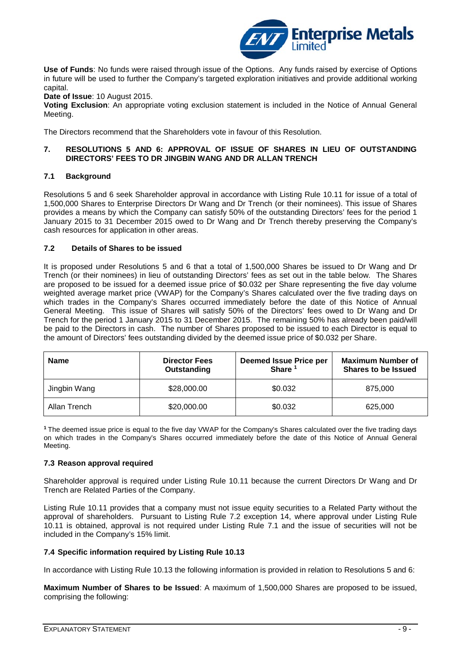

**Use of Funds**: No funds were raised through issue of the Options. Any funds raised by exercise of Options in future will be used to further the Company's targeted exploration initiatives and provide additional working capital.

**Date of Issue**: 10 August 2015.

**Voting Exclusion**: An appropriate voting exclusion statement is included in the Notice of Annual General Meeting.

The Directors recommend that the Shareholders vote in favour of this Resolution.

#### **7. RESOLUTIONS 5 AND 6: APPROVAL OF ISSUE OF SHARES IN LIEU OF OUTSTANDING DIRECTORS' FEES TO DR JINGBIN WANG AND DR ALLAN TRENCH**

#### **7.1 Background**

Resolutions 5 and 6 seek Shareholder approval in accordance with Listing Rule 10.11 for issue of a total of 1,500,000 Shares to Enterprise Directors Dr Wang and Dr Trench (or their nominees). This issue of Shares provides a means by which the Company can satisfy 50% of the outstanding Directors' fees for the period 1 January 2015 to 31 December 2015 owed to Dr Wang and Dr Trench thereby preserving the Company's cash resources for application in other areas.

#### **7.2 Details of Shares to be issued**

It is proposed under Resolutions 5 and 6 that a total of 1,500,000 Shares be issued to Dr Wang and Dr Trench (or their nominees) in lieu of outstanding Directors' fees as set out in the table below. The Shares are proposed to be issued for a deemed issue price of \$0.032 per Share representing the five day volume weighted average market price (VWAP) for the Company's Shares calculated over the five trading days on which trades in the Company's Shares occurred immediately before the date of this Notice of Annual General Meeting. This issue of Shares will satisfy 50% of the Directors' fees owed to Dr Wang and Dr Trench for the period 1 January 2015 to 31 December 2015. The remaining 50% has already been paid/will be paid to the Directors in cash. The number of Shares proposed to be issued to each Director is equal to the amount of Directors' fees outstanding divided by the deemed issue price of \$0.032 per Share.

| <b>Name</b>  | <b>Director Fees</b><br>Outstanding | <b>Deemed Issue Price per</b><br><b>Share</b> | <b>Maximum Number of</b><br><b>Shares to be Issued</b> |
|--------------|-------------------------------------|-----------------------------------------------|--------------------------------------------------------|
| Jingbin Wang | \$28,000.00                         | \$0.032                                       | 875,000                                                |
| Allan Trench | \$20,000.00                         | \$0.032                                       | 625,000                                                |

**<sup>1</sup>**The deemed issue price is equal to the five day VWAP for the Company's Shares calculated over the five trading days on which trades in the Company's Shares occurred immediately before the date of this Notice of Annual General Meeting.

#### **7.3 Reason approval required**

Shareholder approval is required under Listing Rule 10.11 because the current Directors Dr Wang and Dr Trench are Related Parties of the Company.

Listing Rule 10.11 provides that a company must not issue equity securities to a Related Party without the approval of shareholders. Pursuant to Listing Rule 7.2 exception 14, where approval under Listing Rule 10.11 is obtained, approval is not required under Listing Rule 7.1 and the issue of securities will not be included in the Company's 15% limit.

#### **7.4 Specific information required by Listing Rule 10.13**

In accordance with Listing Rule 10.13 the following information is provided in relation to Resolutions 5 and 6:

**Maximum Number of Shares to be Issued**: A maximum of 1,500,000 Shares are proposed to be issued, comprising the following: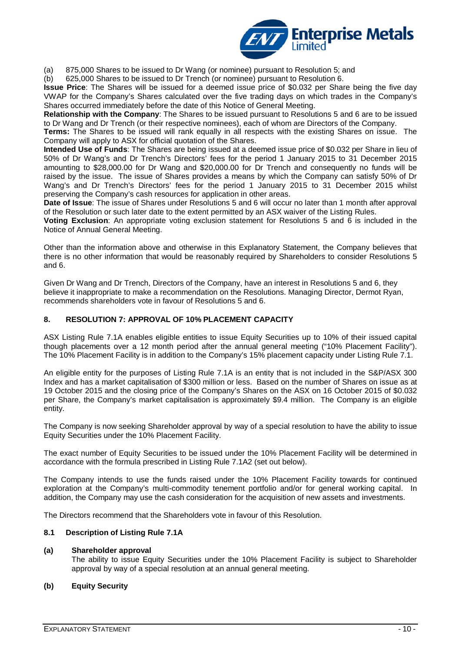

(a) 875,000 Shares to be issued to Dr Wang (or nominee) pursuant to Resolution 5; and

(b) 625,000 Shares to be issued to Dr Trench (or nominee) pursuant to Resolution 6.

**Issue Price**: The Shares will be issued for a deemed issue price of \$0.032 per Share being the five day VWAP for the Company's Shares calculated over the five trading days on which trades in the Company's Shares occurred immediately before the date of this Notice of General Meeting.

**Relationship with the Company**: The Shares to be issued pursuant to Resolutions 5 and 6 are to be issued to Dr Wang and Dr Trench (or their respective nominees), each of whom are Directors of the Company.

**Terms:** The Shares to be issued will rank equally in all respects with the existing Shares on issue. The Company will apply to ASX for official quotation of the Shares.

**Intended Use of Funds**: The Shares are being issued at a deemed issue price of \$0.032 per Share in lieu of 50% of Dr Wang's and Dr Trench's Directors' fees for the period 1 January 2015 to 31 December 2015 amounting to \$28,000.00 for Dr Wang and \$20,000.00 for Dr Trench and consequently no funds will be raised by the issue. The issue of Shares provides a means by which the Company can satisfy 50% of Dr Wang's and Dr Trench's Directors' fees for the period 1 January 2015 to 31 December 2015 whilst preserving the Company's cash resources for application in other areas.

**Date of Issue**: The issue of Shares under Resolutions 5 and 6 will occur no later than 1 month after approval of the Resolution or such later date to the extent permitted by an ASX waiver of the Listing Rules.

**Voting Exclusion**: An appropriate voting exclusion statement for Resolutions 5 and 6 is included in the Notice of Annual General Meeting.

Other than the information above and otherwise in this Explanatory Statement, the Company believes that there is no other information that would be reasonably required by Shareholders to consider Resolutions 5 and 6.

Given Dr Wang and Dr Trench, Directors of the Company, have an interest in Resolutions 5 and 6, they believe it inappropriate to make a recommendation on the Resolutions. Managing Director, Dermot Ryan, recommends shareholders vote in favour of Resolutions 5 and 6.

#### **8. RESOLUTION 7: APPROVAL OF 10% PLACEMENT CAPACITY**

ASX Listing Rule 7.1A enables eligible entities to issue Equity Securities up to 10% of their issued capital though placements over a 12 month period after the annual general meeting ("10% Placement Facility"). The 10% Placement Facility is in addition to the Company's 15% placement capacity under Listing Rule 7.1.

An eligible entity for the purposes of Listing Rule 7.1A is an entity that is not included in the S&P/ASX 300 Index and has a market capitalisation of \$300 million or less. Based on the number of Shares on issue as at 19 October 2015 and the closing price of the Company's Shares on the ASX on 16 October 2015 of \$0.032 per Share, the Company's market capitalisation is approximately \$9.4 million. The Company is an eligible entity.

The Company is now seeking Shareholder approval by way of a special resolution to have the ability to issue Equity Securities under the 10% Placement Facility.

The exact number of Equity Securities to be issued under the 10% Placement Facility will be determined in accordance with the formula prescribed in Listing Rule 7.1A2 (set out below).

The Company intends to use the funds raised under the 10% Placement Facility towards for continued exploration at the Company's multi-commodity tenement portfolio and/or for general working capital. In addition, the Company may use the cash consideration for the acquisition of new assets and investments.

The Directors recommend that the Shareholders vote in favour of this Resolution.

#### **8.1 Description of Listing Rule 7.1A**

#### **(a) Shareholder approval**

The ability to issue Equity Securities under the 10% Placement Facility is subject to Shareholder approval by way of a special resolution at an annual general meeting.

#### **(b) Equity Security**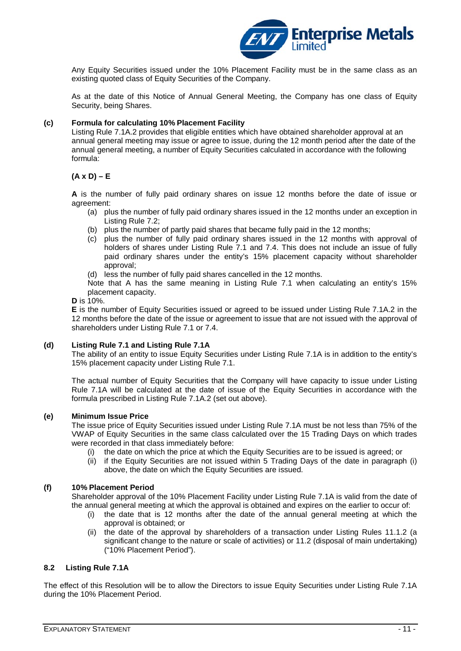

Any Equity Securities issued under the 10% Placement Facility must be in the same class as an existing quoted class of Equity Securities of the Company.

As at the date of this Notice of Annual General Meeting, the Company has one class of Equity Security, being Shares.

#### **(c) Formula for calculating 10% Placement Facility**

Listing Rule 7.1A.2 provides that eligible entities which have obtained shareholder approval at an annual general meeting may issue or agree to issue, during the 12 month period after the date of the annual general meeting, a number of Equity Securities calculated in accordance with the following formula:

### **(A x D) – E**

**A** is the number of fully paid ordinary shares on issue 12 months before the date of issue or agreement:

- (a) plus the number of fully paid ordinary shares issued in the 12 months under an exception in Listing Rule 7.2;
- (b) plus the number of partly paid shares that became fully paid in the 12 months;
- (c) plus the number of fully paid ordinary shares issued in the 12 months with approval of holders of shares under Listing Rule 7.1 and 7.4. This does not include an issue of fully paid ordinary shares under the entity's 15% placement capacity without shareholder approval;

(d) less the number of fully paid shares cancelled in the 12 months.

Note that A has the same meaning in Listing Rule 7.1 when calculating an entity's 15% placement capacity.

#### **D** is 10%.

**E** is the number of Equity Securities issued or agreed to be issued under Listing Rule 7.1A.2 in the 12 months before the date of the issue or agreement to issue that are not issued with the approval of shareholders under Listing Rule 7.1 or 7.4.

#### **(d) Listing Rule 7.1 and Listing Rule 7.1A**

The ability of an entity to issue Equity Securities under Listing Rule 7.1A is in addition to the entity's 15% placement capacity under Listing Rule 7.1.

The actual number of Equity Securities that the Company will have capacity to issue under Listing Rule 7.1A will be calculated at the date of issue of the Equity Securities in accordance with the formula prescribed in Listing Rule 7.1A.2 (set out above).

#### **(e) Minimum Issue Price**

The issue price of Equity Securities issued under Listing Rule 7.1A must be not less than 75% of the VWAP of Equity Securities in the same class calculated over the 15 Trading Days on which trades were recorded in that class immediately before:<br>(i) the date on which the price at which the

- the date on which the price at which the Equity Securities are to be issued is agreed; or
- (ii) if the Equity Securities are not issued within 5 Trading Days of the date in paragraph (i) above, the date on which the Equity Securities are issued.

#### **(f) 10% Placement Period**

Shareholder approval of the 10% Placement Facility under Listing Rule 7.1A is valid from the date of the annual general meeting at which the approval is obtained and expires on the earlier to occur of:

- (i) the date that is 12 months after the date of the annual general meeting at which the approval is obtained; or
- (ii) the date of the approval by shareholders of a transaction under Listing Rules 11.1.2 (a significant change to the nature or scale of activities) or 11.2 (disposal of main undertaking) ("10% Placement Period").

#### **8.2 Listing Rule 7.1A**

The effect of this Resolution will be to allow the Directors to issue Equity Securities under Listing Rule 7.1A during the 10% Placement Period.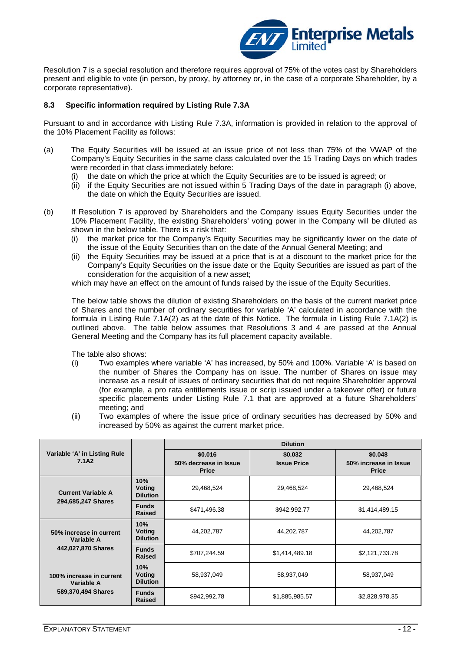

Resolution 7 is a special resolution and therefore requires approval of 75% of the votes cast by Shareholders present and eligible to vote (in person, by proxy, by attorney or, in the case of a corporate Shareholder, by a corporate representative).

#### **8.3 Specific information required by Listing Rule 7.3A**

Pursuant to and in accordance with Listing Rule 7.3A, information is provided in relation to the approval of the 10% Placement Facility as follows:

- (a) The Equity Securities will be issued at an issue price of not less than 75% of the VWAP of the Company's Equity Securities in the same class calculated over the 15 Trading Days on which trades were recorded in that class immediately before:
	- (i) the date on which the price at which the Equity Securities are to be issued is agreed; or
	- (ii) if the Equity Securities are not issued within 5 Trading Days of the date in paragraph (i) above, the date on which the Equity Securities are issued.
- (b) If Resolution 7 is approved by Shareholders and the Company issues Equity Securities under the 10% Placement Facility, the existing Shareholders' voting power in the Company will be diluted as shown in the below table. There is a risk that:
	- (i) the market price for the Company's Equity Securities may be significantly lower on the date of the issue of the Equity Securities than on the date of the Annual General Meeting; and
	- (ii) the Equity Securities may be issued at a price that is at a discount to the market price for the Company's Equity Securities on the issue date or the Equity Securities are issued as part of the consideration for the acquisition of a new asset;

which may have an effect on the amount of funds raised by the issue of the Equity Securities.

The below table shows the dilution of existing Shareholders on the basis of the current market price of Shares and the number of ordinary securities for variable 'A' calculated in accordance with the formula in Listing Rule 7.1A(2) as at the date of this Notice. The formula in Listing Rule 7.1A(2) is outlined above. The table below assumes that Resolutions 3 and 4 are passed at the Annual General Meeting and the Company has its full placement capacity available.

The table also shows:

- (i) Two examples where variable 'A' has increased, by 50% and 100%. Variable 'A' is based on the number of Shares the Company has on issue. The number of Shares on issue may increase as a result of issues of ordinary securities that do not require Shareholder approval (for example, a pro rata entitlements issue or scrip issued under a takeover offer) or future specific placements under Listing Rule 7.1 that are approved at a future Shareholders' meeting; and
- (ii) Two examples of where the issue price of ordinary securities has decreased by 50% and increased by 50% as against the current market price.

|                                                              |                                         | <b>Dilution</b>                                  |                               |                                                  |  |
|--------------------------------------------------------------|-----------------------------------------|--------------------------------------------------|-------------------------------|--------------------------------------------------|--|
| Variable 'A' in Listing Rule<br>7.1A2                        |                                         | \$0.016<br>50% decrease in Issue<br><b>Price</b> | \$0.032<br><b>Issue Price</b> | \$0.048<br>50% increase in Issue<br><b>Price</b> |  |
| <b>Current Variable A</b><br>294,685,247 Shares              | 10%<br><b>Voting</b><br><b>Dilution</b> | 29,468,524                                       | 29,468,524                    | 29,468,524                                       |  |
|                                                              | <b>Funds</b><br>Raised                  | \$471,496.38                                     | \$942,992.77                  | \$1,414,489.15                                   |  |
| 50% increase in current<br>Variable A<br>442,027,870 Shares  | 10%<br>Voting<br><b>Dilution</b>        | 44,202,787                                       | 44,202,787                    | 44,202,787                                       |  |
|                                                              | <b>Funds</b><br><b>Raised</b>           | \$707,244.59                                     | \$1,414,489.18                | \$2,121,733.78                                   |  |
| 100% increase in current<br>Variable A<br>589,370,494 Shares | 10%<br>Voting<br><b>Dilution</b>        | 58,937,049                                       | 58,937,049                    | 58,937,049                                       |  |
|                                                              | <b>Funds</b><br>Raised                  | \$942,992.78                                     | \$1,885,985.57                | \$2,828,978.35                                   |  |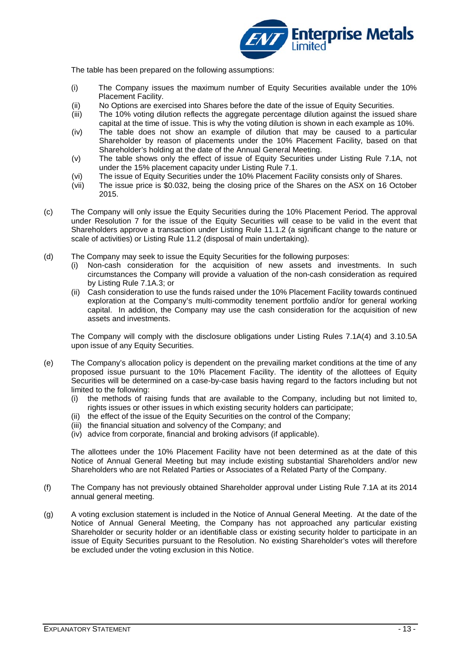

The table has been prepared on the following assumptions:

- (i) The Company issues the maximum number of Equity Securities available under the 10% Placement Facility.
- (ii) No Options are exercised into Shares before the date of the issue of Equity Securities.
- (iii) The 10% voting dilution reflects the aggregate percentage dilution against the issued share capital at the time of issue. This is why the voting dilution is shown in each example as 10%.
- (iv) The table does not show an example of dilution that may be caused to a particular Shareholder by reason of placements under the 10% Placement Facility, based on that Shareholder's holding at the date of the Annual General Meeting.
- (v) The table shows only the effect of issue of Equity Securities under Listing Rule 7.1A, not under the 15% placement capacity under Listing Rule 7.1.
- (vi) The issue of Equity Securities under the 10% Placement Facility consists only of Shares.<br>(vii) The issue price is \$0.032, being the closing price of the Shares on the ASX on 16 Octo
- The issue price is \$0.032, being the closing price of the Shares on the ASX on 16 October 2015.
- (c) The Company will only issue the Equity Securities during the 10% Placement Period. The approval under Resolution 7 for the issue of the Equity Securities will cease to be valid in the event that Shareholders approve a transaction under Listing Rule 11.1.2 (a significant change to the nature or scale of activities) or Listing Rule 11.2 (disposal of main undertaking).
- (d) The Company may seek to issue the Equity Securities for the following purposes:
	- (i) Non-cash consideration for the acquisition of new assets and investments. In such circumstances the Company will provide a valuation of the non-cash consideration as required by Listing Rule 7.1A.3; or
	- (ii) Cash consideration to use the funds raised under the 10% Placement Facility towards continued exploration at the Company's multi-commodity tenement portfolio and/or for general working capital. In addition, the Company may use the cash consideration for the acquisition of new assets and investments.

The Company will comply with the disclosure obligations under Listing Rules 7.1A(4) and 3.10.5A upon issue of any Equity Securities.

- (e) The Company's allocation policy is dependent on the prevailing market conditions at the time of any proposed issue pursuant to the 10% Placement Facility. The identity of the allottees of Equity Securities will be determined on a case-by-case basis having regard to the factors including but not limited to the following:
	- (i) the methods of raising funds that are available to the Company, including but not limited to, rights issues or other issues in which existing security holders can participate;
	- (ii) the effect of the issue of the Equity Securities on the control of the Company;
	- (iii) the financial situation and solvency of the Company; and
	- (iv) advice from corporate, financial and broking advisors (if applicable).

The allottees under the 10% Placement Facility have not been determined as at the date of this Notice of Annual General Meeting but may include existing substantial Shareholders and/or new Shareholders who are not Related Parties or Associates of a Related Party of the Company.

- (f) The Company has not previously obtained Shareholder approval under Listing Rule 7.1A at its 2014 annual general meeting.
- (g) A voting exclusion statement is included in the Notice of Annual General Meeting. At the date of the Notice of Annual General Meeting, the Company has not approached any particular existing Shareholder or security holder or an identifiable class or existing security holder to participate in an issue of Equity Securities pursuant to the Resolution. No existing Shareholder's votes will therefore be excluded under the voting exclusion in this Notice.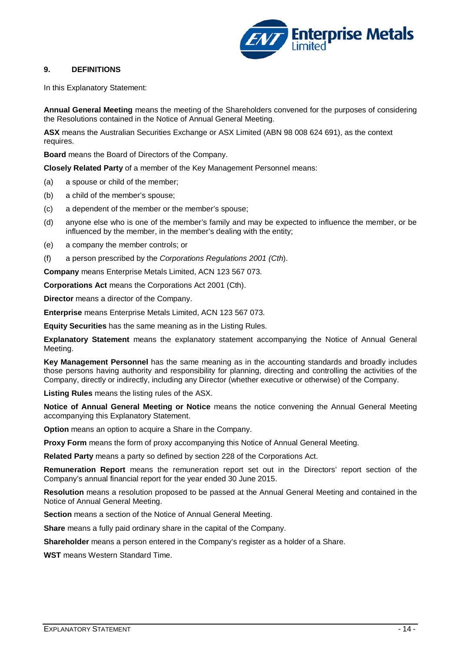

## **9. DEFINITIONS**

In this Explanatory Statement:

**Annual General Meeting** means the meeting of the Shareholders convened for the purposes of considering the Resolutions contained in the Notice of Annual General Meeting.

**ASX** means the Australian Securities Exchange or ASX Limited (ABN 98 008 624 691), as the context requires.

**Board** means the Board of Directors of the Company.

**Closely Related Party** of a member of the Key Management Personnel means:

- (a) a spouse or child of the member;
- (b) a child of the member's spouse;
- (c) a dependent of the member or the member's spouse;
- (d) anyone else who is one of the member's family and may be expected to influence the member, or be influenced by the member, in the member's dealing with the entity;
- (e) a company the member controls; or
- (f) a person prescribed by the *Corporations Regulations 2001 (Cth*).

**Company** means Enterprise Metals Limited, ACN 123 567 073.

**Corporations Act** means the Corporations Act 2001 (Cth).

**Director** means a director of the Company.

**Enterprise** means Enterprise Metals Limited, ACN 123 567 073.

**Equity Securities** has the same meaning as in the Listing Rules.

**Explanatory Statement** means the explanatory statement accompanying the Notice of Annual General Meeting.

**Key Management Personnel** has the same meaning as in the accounting standards and broadly includes those persons having authority and responsibility for planning, directing and controlling the activities of the Company, directly or indirectly, including any Director (whether executive or otherwise) of the Company.

**Listing Rules** means the listing rules of the ASX.

**Notice of Annual General Meeting or Notice** means the notice convening the Annual General Meeting accompanying this Explanatory Statement.

**Option** means an option to acquire a Share in the Company.

**Proxy Form** means the form of proxy accompanying this Notice of Annual General Meeting.

**Related Party** means a party so defined by section 228 of the Corporations Act.

**Remuneration Report** means the remuneration report set out in the Directors' report section of the Company's annual financial report for the year ended 30 June 2015.

**Resolution** means a resolution proposed to be passed at the Annual General Meeting and contained in the Notice of Annual General Meeting.

**Section** means a section of the Notice of Annual General Meeting.

**Share** means a fully paid ordinary share in the capital of the Company.

**Shareholder** means a person entered in the Company's register as a holder of a Share.

**WST** means Western Standard Time.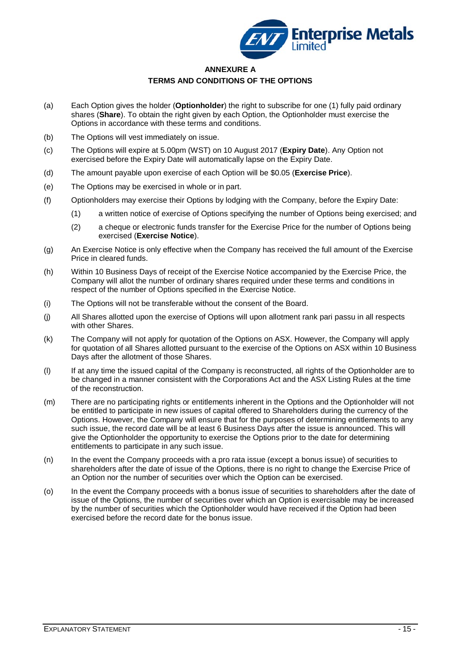

## **ANNEXURE A TERMS AND CONDITIONS OF THE OPTIONS**

- (a) Each Option gives the holder (**Optionholder**) the right to subscribe for one (1) fully paid ordinary shares (**Share**). To obtain the right given by each Option, the Optionholder must exercise the Options in accordance with these terms and conditions.
- (b) The Options will vest immediately on issue.
- (c) The Options will expire at 5.00pm (WST) on 10 August 2017 (**Expiry Date**). Any Option not exercised before the Expiry Date will automatically lapse on the Expiry Date.
- (d) The amount payable upon exercise of each Option will be \$0.05 (**Exercise Price**).
- (e) The Options may be exercised in whole or in part.
- (f) Optionholders may exercise their Options by lodging with the Company, before the Expiry Date:
	- (1) a written notice of exercise of Options specifying the number of Options being exercised; and
	- (2) a cheque or electronic funds transfer for the Exercise Price for the number of Options being exercised (**Exercise Notice**).
- (g) An Exercise Notice is only effective when the Company has received the full amount of the Exercise Price in cleared funds.
- (h) Within 10 Business Days of receipt of the Exercise Notice accompanied by the Exercise Price, the Company will allot the number of ordinary shares required under these terms and conditions in respect of the number of Options specified in the Exercise Notice.
- (i) The Options will not be transferable without the consent of the Board.
- (j) All Shares allotted upon the exercise of Options will upon allotment rank pari passu in all respects with other Shares.
- (k) The Company will not apply for quotation of the Options on ASX. However, the Company will apply for quotation of all Shares allotted pursuant to the exercise of the Options on ASX within 10 Business Days after the allotment of those Shares.
- (l) If at any time the issued capital of the Company is reconstructed, all rights of the Optionholder are to be changed in a manner consistent with the Corporations Act and the ASX Listing Rules at the time of the reconstruction.
- (m) There are no participating rights or entitlements inherent in the Options and the Optionholder will not be entitled to participate in new issues of capital offered to Shareholders during the currency of the Options. However, the Company will ensure that for the purposes of determining entitlements to any such issue, the record date will be at least 6 Business Days after the issue is announced. This will give the Optionholder the opportunity to exercise the Options prior to the date for determining entitlements to participate in any such issue.
- (n) In the event the Company proceeds with a pro rata issue (except a bonus issue) of securities to shareholders after the date of issue of the Options, there is no right to change the Exercise Price of an Option nor the number of securities over which the Option can be exercised.
- (o) In the event the Company proceeds with a bonus issue of securities to shareholders after the date of issue of the Options, the number of securities over which an Option is exercisable may be increased by the number of securities which the Optionholder would have received if the Option had been exercised before the record date for the bonus issue.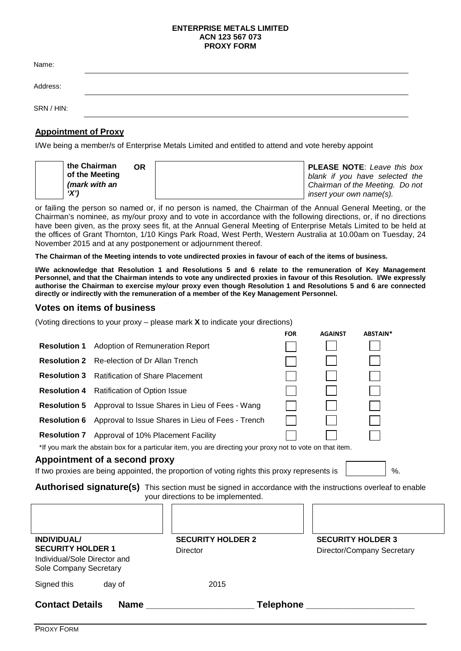#### **ENTERPRISE METALS LIMITED ACN 123 567 073 PROXY FORM**

| Name:      |  |  |
|------------|--|--|
| Address:   |  |  |
| SRN / HIN: |  |  |

## **Appointment of Proxy**

I/We being a member/s of Enterprise Metals Limited and entitled to attend and vote hereby appoint

| the Chairman   | 0R. | <b>PLEASE NOTE:</b> Leave this box |
|----------------|-----|------------------------------------|
| of the Meeting |     | blank if you have selected the     |
| (mark with an  |     | Chairman of the Meeting. Do not    |
| 'X')           |     | insert your own name(s).           |

or failing the person so named or, if no person is named, the Chairman of the Annual General Meeting, or the Chairman's nominee, as my/our proxy and to vote in accordance with the following directions, or, if no directions have been given, as the proxy sees fit, at the Annual General Meeting of Enterprise Metals Limited to be held at the offices of Grant Thornton, 1/10 Kings Park Road, West Perth, Western Australia at 10.00am on Tuesday, 24 November 2015 and at any postponement or adjournment thereof.

**The Chairman of the Meeting intends to vote undirected proxies in favour of each of the items of business.**

**I/We acknowledge that Resolution 1 and Resolutions 5 and 6 relate to the remuneration of Key Management Personnel, and that the Chairman intends to vote any undirected proxies in favour of this Resolution. I/We expressly authorise the Chairman to exercise my/our proxy even though Resolution 1 and Resolutions 5 and 6 are connected directly or indirectly with the remuneration of a member of the Key Management Personnel.**

## **Votes on items of business**

(Voting directions to your proxy – please mark **X** to indicate your directions)

|                                                                                                                                                  |                                                                     |                                                                                                            | <b>FOR</b>  | <b>AGAINST</b>           | ABSTAIN*                   |
|--------------------------------------------------------------------------------------------------------------------------------------------------|---------------------------------------------------------------------|------------------------------------------------------------------------------------------------------------|-------------|--------------------------|----------------------------|
| <b>Resolution 1</b>                                                                                                                              | <b>Adoption of Remuneration Report</b>                              |                                                                                                            |             |                          |                            |
|                                                                                                                                                  | <b>Resolution 2</b> Re-election of Dr Allan Trench                  |                                                                                                            |             |                          |                            |
| <b>Resolution 3</b>                                                                                                                              | <b>Ratification of Share Placement</b>                              |                                                                                                            |             |                          |                            |
|                                                                                                                                                  | <b>Resolution 4</b> Ratification of Option Issue                    |                                                                                                            |             |                          |                            |
|                                                                                                                                                  | <b>Resolution 5</b> Approval to Issue Shares in Lieu of Fees - Wang |                                                                                                            |             |                          |                            |
| <b>Resolution 6</b>                                                                                                                              | Approval to Issue Shares in Lieu of Fees - Trench                   |                                                                                                            |             |                          |                            |
|                                                                                                                                                  | <b>Resolution 7</b> Approval of 10% Placement Facility              |                                                                                                            |             |                          |                            |
|                                                                                                                                                  |                                                                     | *If you mark the abstain box for a particular item, you are directing your proxy not to vote on that item. |             |                          |                            |
|                                                                                                                                                  | Appointment of a second proxy                                       |                                                                                                            |             |                          |                            |
|                                                                                                                                                  |                                                                     | If two proxies are being appointed, the proportion of voting rights this proxy represents is               |             |                          | %.                         |
| Authorised signature(s) This section must be signed in accordance with the instructions overleaf to enable<br>your directions to be implemented. |                                                                     |                                                                                                            |             |                          |                            |
|                                                                                                                                                  |                                                                     |                                                                                                            |             |                          |                            |
| <b>INDIVIDUAL/</b>                                                                                                                               |                                                                     | <b>SECURITY HOLDER 2</b>                                                                                   |             | <b>SECURITY HOLDER 3</b> |                            |
| <b>SECURITY HOLDER 1</b>                                                                                                                         |                                                                     | Director                                                                                                   |             |                          | Director/Company Secretary |
| Individual/Sole Director and<br>Sole Company Secretary                                                                                           |                                                                     |                                                                                                            |             |                          |                            |
| Signed this                                                                                                                                      | day of                                                              | 2015                                                                                                       |             |                          |                            |
| <b>Contact Details</b>                                                                                                                           | <b>Name</b>                                                         |                                                                                                            | Telephone _ |                          |                            |

PROXY FORM